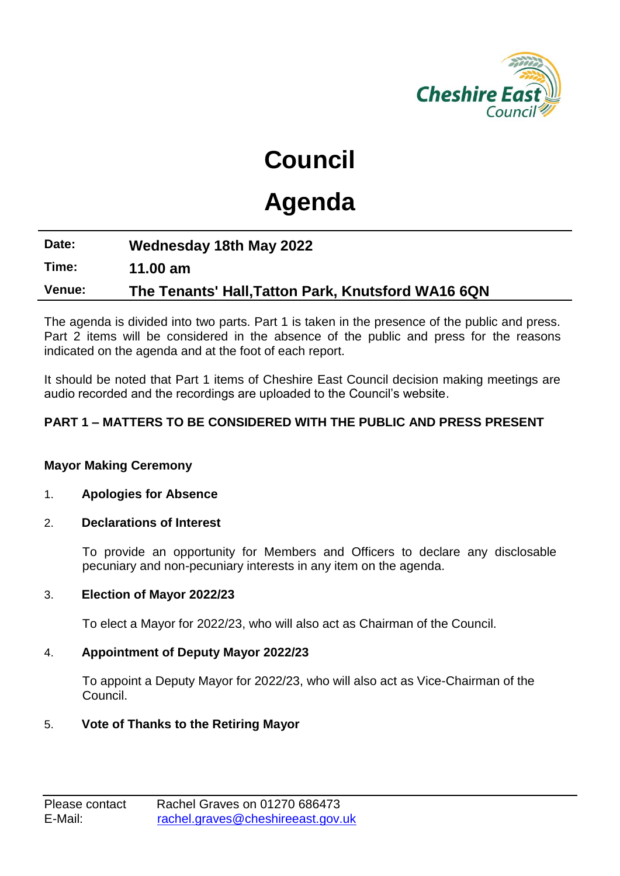

## **Council**

# **Agenda**

## **Date: Wednesday 18th May 2022 Time: 11.00 am Venue: The Tenants' Hall,Tatton Park, Knutsford WA16 6QN**

The agenda is divided into two parts. Part 1 is taken in the presence of the public and press. Part 2 items will be considered in the absence of the public and press for the reasons indicated on the agenda and at the foot of each report.

It should be noted that Part 1 items of Cheshire East Council decision making meetings are audio recorded and the recordings are uploaded to the Council's website.

#### **PART 1 – MATTERS TO BE CONSIDERED WITH THE PUBLIC AND PRESS PRESENT**

#### **Mayor Making Ceremony**

#### 1. **Apologies for Absence**

#### 2. **Declarations of Interest**

To provide an opportunity for Members and Officers to declare any disclosable pecuniary and non-pecuniary interests in any item on the agenda.

#### 3. **Election of Mayor 2022/23**

To elect a Mayor for 2022/23, who will also act as Chairman of the Council.

#### 4. **Appointment of Deputy Mayor 2022/23**

To appoint a Deputy Mayor for 2022/23, who will also act as Vice-Chairman of the Council.

#### 5. **Vote of Thanks to the Retiring Mayor**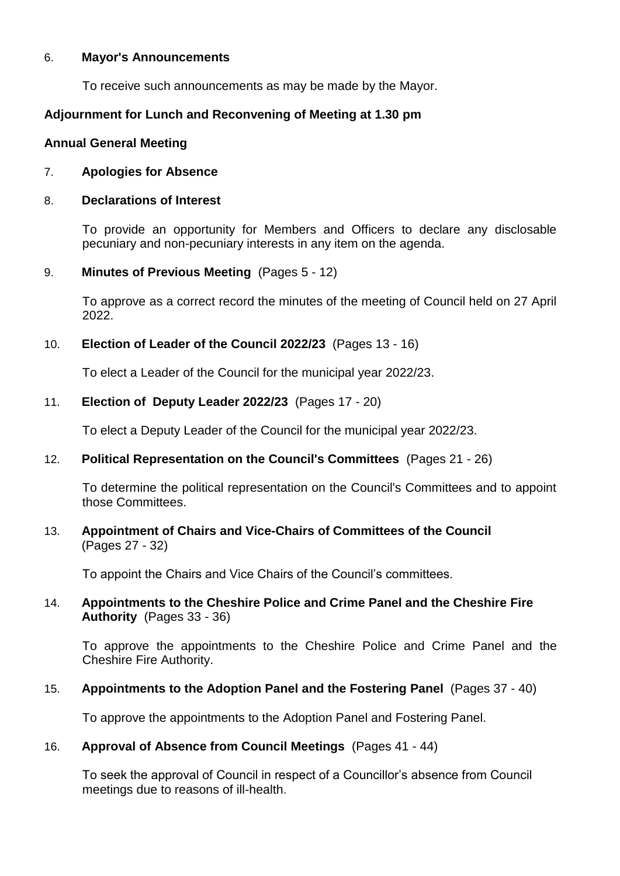#### 6. **Mayor's Announcements**

To receive such announcements as may be made by the Mayor.

#### **Adjournment for Lunch and Reconvening of Meeting at 1.30 pm**

#### **Annual General Meeting**

#### 7. **Apologies for Absence**

#### 8. **Declarations of Interest**

To provide an opportunity for Members and Officers to declare any disclosable pecuniary and non-pecuniary interests in any item on the agenda.

#### 9. **Minutes of Previous Meeting** (Pages 5 - 12)

To approve as a correct record the minutes of the meeting of Council held on 27 April 2022.

#### 10. **Election of Leader of the Council 2022/23** (Pages 13 - 16)

To elect a Leader of the Council for the municipal year 2022/23.

#### 11. **Election of Deputy Leader 2022/23** (Pages 17 - 20)

To elect a Deputy Leader of the Council for the municipal year 2022/23.

#### 12. **Political Representation on the Council's Committees** (Pages 21 - 26)

To determine the political representation on the Council's Committees and to appoint those Committees.

#### 13. **Appointment of Chairs and Vice-Chairs of Committees of the Council** (Pages 27 - 32)

To appoint the Chairs and Vice Chairs of the Council's committees.

#### 14. **Appointments to the Cheshire Police and Crime Panel and the Cheshire Fire Authority** (Pages 33 - 36)

To approve the appointments to the Cheshire Police and Crime Panel and the Cheshire Fire Authority.

#### 15. **Appointments to the Adoption Panel and the Fostering Panel** (Pages 37 - 40)

To approve the appointments to the Adoption Panel and Fostering Panel.

#### 16. **Approval of Absence from Council Meetings** (Pages 41 - 44)

To seek the approval of Council in respect of a Councillor's absence from Council meetings due to reasons of ill-health.